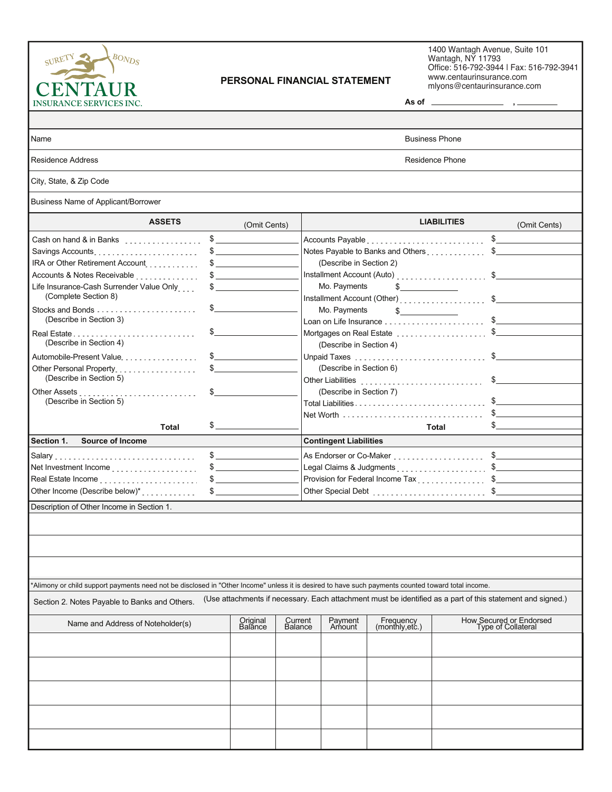

## **PERSONAL FINANCIAL STATEMENT**

 $1400$  Wantagh Avenue, Suite  $101$  $R$  Walllayit, INT 11795<br>Office: 516, 700, 2011 LEev: 516, 70 00 Wantagh Avenue, Suite 101 antagn, NY 11793 $\sim$ TEL: 973-92-9944 FM3. 973-792-9941<br>District formulations of the same 1400 Wantagh Avenue, Suite 101 Wantagh, NY 11793 Office: 516-792-3944 | Fax: 516-792-3941 www.centaurinsurance.com mlyons@centaurinsurance.com

| <b>INSURANCE SERVICES INC.</b>                                                                                                                                                                                                                                                         |                                                                                                                                                                                                                                                                                                                                                                     |                               |                                                                                                                                                                                                                                                                                                                                                                                                                                                                                                                                                                 | As of $\overline{\phantom{a}}$ |                                                                                                                                                                                  |                                                                                                            |  |  |  |
|----------------------------------------------------------------------------------------------------------------------------------------------------------------------------------------------------------------------------------------------------------------------------------------|---------------------------------------------------------------------------------------------------------------------------------------------------------------------------------------------------------------------------------------------------------------------------------------------------------------------------------------------------------------------|-------------------------------|-----------------------------------------------------------------------------------------------------------------------------------------------------------------------------------------------------------------------------------------------------------------------------------------------------------------------------------------------------------------------------------------------------------------------------------------------------------------------------------------------------------------------------------------------------------------|--------------------------------|----------------------------------------------------------------------------------------------------------------------------------------------------------------------------------|------------------------------------------------------------------------------------------------------------|--|--|--|
|                                                                                                                                                                                                                                                                                        |                                                                                                                                                                                                                                                                                                                                                                     |                               |                                                                                                                                                                                                                                                                                                                                                                                                                                                                                                                                                                 |                                |                                                                                                                                                                                  |                                                                                                            |  |  |  |
| Name                                                                                                                                                                                                                                                                                   | <b>Business Phone</b>                                                                                                                                                                                                                                                                                                                                               |                               |                                                                                                                                                                                                                                                                                                                                                                                                                                                                                                                                                                 |                                |                                                                                                                                                                                  |                                                                                                            |  |  |  |
| Residence Address                                                                                                                                                                                                                                                                      |                                                                                                                                                                                                                                                                                                                                                                     | <b>Residence Phone</b>        |                                                                                                                                                                                                                                                                                                                                                                                                                                                                                                                                                                 |                                |                                                                                                                                                                                  |                                                                                                            |  |  |  |
| City, State, & Zip Code                                                                                                                                                                                                                                                                |                                                                                                                                                                                                                                                                                                                                                                     |                               |                                                                                                                                                                                                                                                                                                                                                                                                                                                                                                                                                                 |                                |                                                                                                                                                                                  |                                                                                                            |  |  |  |
| Business Name of Applicant/Borrower                                                                                                                                                                                                                                                    |                                                                                                                                                                                                                                                                                                                                                                     |                               |                                                                                                                                                                                                                                                                                                                                                                                                                                                                                                                                                                 |                                |                                                                                                                                                                                  |                                                                                                            |  |  |  |
| <b>ASSETS</b>                                                                                                                                                                                                                                                                          |                                                                                                                                                                                                                                                                                                                                                                     | (Omit Cents)                  |                                                                                                                                                                                                                                                                                                                                                                                                                                                                                                                                                                 |                                | <b>LIABILITIES</b>                                                                                                                                                               | (Omit Cents)                                                                                               |  |  |  |
| Cash on hand & in Banks<br>IRA or Other Retirement Account.<br>Life Insurance-Cash Surrender Value Only<br>(Complete Section 8)<br>(Describe in Section 3)<br>Real Estate<br>(Describe in Section 4)<br>Automobile-Present Value<br>Other Personal Property<br>(Describe in Section 5) | $\sim$<br>$\sim$<br>$\frac{1}{2}$<br>$\sim$<br>\$<br>\$<br>$\sim$ 5<br>\$                                                                                                                                                                                                                                                                                           |                               | $\mathbb{S}$<br>Notes Payable to Banks and Others \$<br>(Describe in Section 2)<br>Installment Account (Auto) \$<br>Mo. Payments<br>$\frac{1}{2}$<br>Mo. Payments<br>$\sim$<br>Mortgages on Real Estate \$<br>(Describe in Section 4)<br>Unpaid Taxes \$<br>(Describe in Section 6)<br>Other Liabilities [11] [11] Department of the contract of the contract of the contract of the contract of the contract of the contract of the contract of the contract of the contract of the contract of the contract of the<br>$\mathbb{S}$<br>(Describe in Section 7) |                                |                                                                                                                                                                                  |                                                                                                            |  |  |  |
| (Describe in Section 5)<br><b>Total</b>                                                                                                                                                                                                                                                | $\frac{1}{2}$                                                                                                                                                                                                                                                                                                                                                       |                               | Total                                                                                                                                                                                                                                                                                                                                                                                                                                                                                                                                                           |                                |                                                                                                                                                                                  |                                                                                                            |  |  |  |
| Section 1.<br>Source of Income                                                                                                                                                                                                                                                         |                                                                                                                                                                                                                                                                                                                                                                     | <b>Contingent Liabilities</b> |                                                                                                                                                                                                                                                                                                                                                                                                                                                                                                                                                                 |                                |                                                                                                                                                                                  |                                                                                                            |  |  |  |
| Real Estate Income [11] [11] Real Estate Income Processes<br>Other Income (Describe below)*<br>subsequently<br>Description of Other Income in Section 1.                                                                                                                               | $\sim$<br>$\sim$<br>$\mathfrak s$ and $\mathfrak s$ and $\mathfrak s$ and $\mathfrak s$ and $\mathfrak s$ and $\mathfrak s$ and $\mathfrak s$ and $\mathfrak s$ and $\mathfrak s$ and $\mathfrak s$ and $\mathfrak s$ and $\mathfrak s$ and $\mathfrak s$ and $\mathfrak s$ and $\mathfrak s$ and $\mathfrak s$ and $\mathfrak s$ and $\mathfrak s$ and $\mathfrak$ |                               |                                                                                                                                                                                                                                                                                                                                                                                                                                                                                                                                                                 |                                | As Endorser or Co-Maker \$<br>Provision for Federal Income Tax<br>1990 - Samman Samman, Samman Samman, Samman, Samman, Samman, Samman, Samman, Samman, Samman, Samman, Samman, S |                                                                                                            |  |  |  |
| *Alimony or child support payments need not be disclosed in "Other Income" unless it is desired to have such payments counted toward total income.<br>Section 2. Notes Payable to Banks and Others.                                                                                    |                                                                                                                                                                                                                                                                                                                                                                     |                               |                                                                                                                                                                                                                                                                                                                                                                                                                                                                                                                                                                 |                                |                                                                                                                                                                                  | (Use attachments if necessary. Each attachment must be identified as a part of this statement and signed.) |  |  |  |
| Name and Address of Noteholder(s)                                                                                                                                                                                                                                                      | Original<br>Balance                                                                                                                                                                                                                                                                                                                                                 | Current<br><b>Balance</b>     | Payment<br>Amount                                                                                                                                                                                                                                                                                                                                                                                                                                                                                                                                               | Frequency<br>(monthly,etc.)    |                                                                                                                                                                                  | How Secured or Endorsed<br>Type of Collateral                                                              |  |  |  |
|                                                                                                                                                                                                                                                                                        |                                                                                                                                                                                                                                                                                                                                                                     |                               |                                                                                                                                                                                                                                                                                                                                                                                                                                                                                                                                                                 |                                |                                                                                                                                                                                  |                                                                                                            |  |  |  |
|                                                                                                                                                                                                                                                                                        |                                                                                                                                                                                                                                                                                                                                                                     |                               |                                                                                                                                                                                                                                                                                                                                                                                                                                                                                                                                                                 |                                |                                                                                                                                                                                  |                                                                                                            |  |  |  |